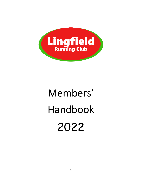

# Members' Handbook 2022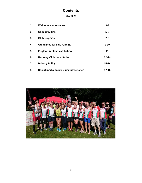# **Contents**

## **May 2022**

| 1            | Welcome - who we are                  | $3 - 4$   |
|--------------|---------------------------------------|-----------|
| $\mathbf{2}$ | <b>Club activities</b>                | $5-6$     |
| 3            | <b>Club trophies</b>                  | $7 - 8$   |
| 4            | <b>Guidelines for safe running</b>    | $9 - 10$  |
| 5            | <b>England Athletics affiliation</b>  | 11        |
| 6            | <b>Running Club constitution</b>      | $12 - 14$ |
| 7            | <b>Privacy Policy</b>                 | $15 - 16$ |
| 8            | Social media policy & useful websites | $17 - 18$ |

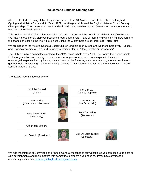## **Welcome to Lingfield Running Club**

Attempts to start a running club in Lingfield go back to June 1895 (when it was to be called the Lingfield Cycling and Athletics Club) and, in March 1902, the village even hosted the English National Cross-Country Championships. The current Club was founded in 1983, and now has about 160 members, many of them also members of England Athletics.

This booklet contains information about the club, our activities and the benefits available to Lingfield runners. We have various friendly club competitions throughout the year, many of them handicaps, giving more runners the chance of crossing the line in first place! During the winter there are several Head Torch Runs.

We are based at the Victoria Sports & Social Club on Lingfield High Street, and we meet there every Tuesday and Thursday evening at 7pm, and Saturday mornings (9am or 10am), whatever the weather!

The Club is run by a committee elected at the AGM, which is held every April. The Committee is responsible for the organisation and running of the club, and arranges some events, but everyone in the club is encouraged to get involved by helping the club to organise fun runs, social events and generate new ideas to get members participating in activities. Doing so helps to make you eligible for the annual ballot for the club's London Marathon place.

The 2022/23 Committee consists of:

| Scott McDonald<br>(Chair)                    | Fiona Brown<br>(Ladies' captain)  |  |
|----------------------------------------------|-----------------------------------|--|
| <b>Gary Spring</b><br>(Membership Secretary) | Dave Watkins<br>(Men's captain)   |  |
| Graeme Bennett<br>(Secretary)                | Tom Cartledge<br>(Treasurer)      |  |
| Other club officers                          |                                   |  |
| Kath Garrido (President)                     | Dee De Luca (Social<br>Secretary) |  |

We add the minutes of Committee and Annual General meetings to our website, so you can keep up to date on club developments and raise matters with committee members if you need to. If you have any ideas or concerns, please email [secretary@lingfieldrunningclub.co.uk.](mailto:secretary@lingfieldrunningclub.co.uk)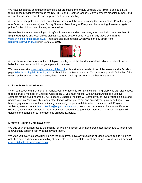We have a separate committee responsible for organising the annual Lingfield 10s (10 mile and 10k multiterrain races previously known as the Dry Hill 10 and Greathed Gallop). Many members organise Sunday and midweek runs, social events and help with parkrun marshalling.

As a club we compete in several competitions throughout the year including the Surrey Cross Country League (men's and women's teams) and Surrey Summer Road League. Every member entering these races gets points for the club as part of a league competition.

Remember if you are competing for Lingfield in an event under UKA rules, you should also be a member of England Athletics and wear official club kit (i.e., race vest or t-shirt). You can buy these by emailing [vests@lingfieldrunningclub.co.uk.](mailto:vests@lingfieldrunningclub.co.uk) There are also club hoodies which you can buy direct from [paul@pbteamwear.co.uk](mailto:paul@pbteamwear.co.uk) or on 01709 519101.



As a club, we receive a guaranteed club place each year in the London marathon, which we allocate via a ballot for members who did not get a place in the event.

We have a website [www.lingfieldrunningclub.co.uk](http://www.lingfieldrunningclub.co.uk/) with up-to-date details of the club's events and a Facebook page [Friends of Lingfield Running Club](https://www.facebook.com/groups/lingfieldrunningclub/?ref=bookmarks) with a link to the Race calendar. This is where you will find a list of the most popular events in the local area, details about coaching sessions and other future events.

#### **Links with England Athletics**

When you become a member of, or renew, your membership with Lingfield Running Club, you can also choose to register as a member of England Athletics (N.B. you must register with England Athletics if you ever compete for the club under the UKA rulebook). England Athletics will contact you to invite you to sign into and update your myPortal (which, among other things, allows you to set and amend your privacy settings). If you have any questions about the continuing privacy of your personal data when it is shared with England Athletics, please contact [dataprotection@englandathletics.org.](mailto:dataprotection@englandathletics.org) We do encourage members to join EA – for example, you cannot compete in the Surrey Cross Country League unless you are a member. We give full details of the benefits of EA membership on page 11 below.

#### **Lingfield Running Club newsletter**

We add your email address to the mailing list when we accept your membership application and will send you a newsletter, usually every Wednesday afternoon.

We wish you every success running with the club. If you have any questions or ideas, or are able to help with activities such as training, marshalling at races etc. please speak to any of the members at club night or email [enquiry@lingfieldrunningclub.co.uk](mailto:enquiry@lingfieldrunningclub.co.uk) .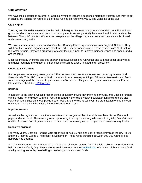## **Club activities**

We have mixed groups to cater for all abilities. Whether you are a seasoned marathon veteran, just want to get in shape, are training for your first 5k, or hate running on your own, you will be welcome at the club.

#### **Club Nights**

Tuesday and Thursday evenings are the main club nights. Runners join groups dependent on ability and each group decides where it wants to go, and at what pace. Runs are generally between 5 and 8 miles and can last between 60 and 90 minutes. Winter runs take place on the village roads and summer runs are a mix of road and cross-country trails.

We have members with Leader and/or Coach in Running Fitness qualifications from England Athletics. They will, from time to time, organise more structured hill or speedwork sessions. These sessions are NOT just for the faster runners, they are a great way for every level of runner to improve their endurance and speed, and all are welcome.

Most Wednesday evenings also see shorter, speedwork sessions run winter and summer either on a well-lit and quiet road near the village, or other locations such as East Grinstead and Forest Row.

#### **Couch to 5K Courses**

For people new to running, we organise C25K courses which are open to new and returning runners of all fitness levels. This LRC course will train members from absolutely nothing to 5 km over ten weeks, and finish with encouraging all the runners to participate in a 5k parkrun. They are run by our trained coaches. For the latest details, check the [LRC website.](https://lingfieldrunningclub.co.uk/test-post-in-beginners/)

#### **parkrun**

In addition to the above, we also recognise the popularity of Saturday morning parkruns, and Lingfield runners can be found far and wide, with their results reported in the club's weekly newsletter. Lingfield runners also volunteer at the East Grinstead parkrun each week, and the club 'takes over' the organisation of one parkrun each year. This is now the East Grinstead event at East Court.

#### **Impromptu runs**

As well as the regular club runs, there are often others organised by other club members via our Facebook page, and open to all. These runs give an opportunity to enjoy the countryside around Lingfield, East Grinstead and the Ashdown Forest (sometimes all three in one run) making use of footpaths and cross-country tracks.

#### **Races we organise**

For many years, Lingfield Running Club organised annual 10 mile and 5-mile races, known as the Dry Hill 10 and the Greathed Gallop 5, held early in September. These races attracted between 100-200 runners, but numbers had declined.

In 2018, we changed this format to a 10 mile and a 10k event, starting from Lingfield College, on St Piers Lane, held in late June/early July. These events are known now as the [Lingfield 10s.](https://lingfieldrunningclub.co.uk/lingfield-10s/) We rely on club members (and family) helping, either by marshalling or assisting at the start and finish.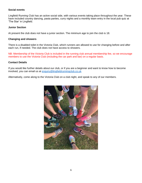#### **Social events**

Lingfield Running Club has an active social side, with various events taking place throughout the year. These have included country dancing, pasta parties, curry nights and a monthly team entry in the local pub quiz at 'The Star' in Lingfield.

#### **Junior Section**

At present the club does not have a junior section. The minimum age to join the club is 18.

#### **Changing and showers**

There is a disabled toilet in the Victoria Club, which runners are allowed to use for changing before and after each run, if needed. The club does not have access to showers.

NB: Membership of the Victoria Club is included in the running club annual membership fee, so we encourage members to use the Victoria Club (including the car park and bar) on a regular basis.

#### **Contact Details**

If you would like further details about our club, or if you are a beginner and want to know how to become involved, you can email us at [enquiry@lingfieldrunningclub.co.uk](mailto:enquiry@lingfieldrunningclub.co.uk)

Alternatively, come along to the Victoria Club on a club night, and speak to any of our members.

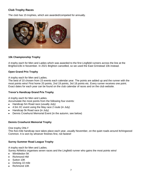## **Club Trophy Races**

The club has 15 trophies, which are awarded/competed for annually.



#### **10k Championship Trophy**

A trophy each for Men and Ladies which was awarded to the first Lingfield runners across the line at the Brighton10k in November. In 2021 Brighton cancelled, so we used the East Grinstead 10k instead.

#### **Open Grand Prix Trophy**

#### A trophy each for Men and Ladies.

The best of 10 chosen from 15 events each calendar year. The points are added up and the runner with the most points wins! First home 20 points, 2nd 19 points, 3rd 18 points etc. Every runner receives one point. Exact dates for each year can be found on the club calendar of races and on the club website.

#### **Trevor's Handicap Grand Prix Trophy**

A trophy each for Men and Ladies.

Accumulate the most points from the following four events:

- Handicap 5m Road race (usually July)
- 4.5m XC event using the May race 2 route (in July)
- Handicap 5k Road race (in July)
- Dennis Crowhurst Memorial Event (in the autumn, see below)

#### **Dennis Crowhurst Memorial Trophy**

#### One trophy ONLY

This five-mile handicap race takes place each year, usually November, on the quiet roads around Itchingwood Common. It is won by whoever finishes first, not fastest!

#### **Surrey Summer Road League Trophy**

A trophy each for Men and Ladies.

Surrey Athletics organises seven races and the Lingfield runner who gains the most points wins!

- Wimbledon 5K
- Richmond HM
- Sutton 10K
- Dorking 10 mile
- Richmond 10K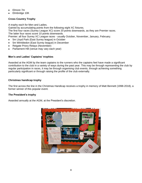- Elmore 7m
- Elmbridge 10K

## **Cross Country Trophy**

A trophy each for Men and Ladies.

Gained by accumulating points from the following eight XC fixtures.

The first four races (Surrey League XC) score 20 points downwards, as they are Premier races. The latter four races score 10 points downwards.

Premier: all four Surrey XC League races - usually October, November, January, February.

- 5m Lloyd Park (East Surrey league) in October
- 5m Wimbledon (East Surrey league) in December
- Reigate Priory Relays (November)
- Parliament Hill (venue may vary each year)

#### **Men's and Ladies' Captains' trophies**

Awarded at the AGM by the team captains to the runners who the captains feel have made a significant contribution to the club in a variety of ways during the past year. This may be through representing the club by regular participation in races, it may be through organising club events, through achieving something particularly significant or through raising the profile of the club externally.

#### **Christmas handicap trophy**

The first across the line in the Christmas Handicap receives a trophy in memory of Matt Bennett (1998-2018), a former winner of this popular event.

#### **The President's trophy**

Awarded annually at the AGM, at the President's discretion.

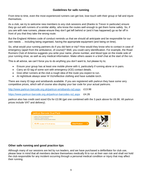## **Guidelines for safe running**

From time to time, even the most experienced runners can get lost, lose touch with their group or fall and injure themselves.

As a club, we try to welcome new members to any club sessions and (thanks to Trevor in particular) ensure they go out with runners of a similar ability, who know the routes well enough to get them home safely. So, if you are with new runners, please ensure they don't get left behind or (and it has happened) go so far off in front of you that they take the wrong route.

But the England Athletes code of conduct reminds us that we should all anticipate and be responsible for our own needs … including being organised, having the appropriate equipment (and being on time).

So, what would your running partners do if you did faint or trip? How would they know who to contact in case of emergency (apart from the ambulance, of course)? Well, you could carry identification. For example, the Road Runners Club of America suggests you write your name, phone number, and blood type on the inside sole of your running shoe, as well as any medical information. Make others aware in a brief chat at the start of the run.

This is all advice, we can't force you to do anything you don't want to, but please try to;

- Ensure your group has at least one mobile phone with it, particularly if running alone or in pairs.
- Carry an ID tag of some sort with emergency (ICE) contact details.
- Give other runners at the club a rough idea of the route you expect to run.
- At night/dusk always wear Hi Viz/reflective clothing and have suitable torch.

There are many ID tags and wristbands available. If you are registered with parkrun they have some very competitive prices, which will of course also display your bar code for your actual parkruns.

<http://www.parkrun-barcode.org.uk/parkrun-wristbands-ra3.aspx>£13.98

<https://www.parkrun-barcode.org.uk/parkrun-barcodes-ra1.aspx> £4.26

parkrun also has credit card sized IDs for £3.96 (get one combined with the 3 pack above for £6.96. All parkrun prices include VAT and delivery).

| parkrun Barcode Dual Pack                                                                                                    |                     |  |
|------------------------------------------------------------------------------------------------------------------------------|---------------------|--|
| • parkrun TAG and Card barcode ID Pack<br>• Printed ICE Telephone Number<br>• Printed Information including Specific Medical |                     |  |
| £6.96 includes VAT & UK delivery                                                                                             | <b>View Product</b> |  |
|                                                                                                                              |                     |  |

## **Other safe running and good practice tips**

Although many of our sessions are led by run leaders, and we have purchased a defibrillator for club use, please bear in mind that all members declare themselves medically fit to run at their own risk and shall not hold the club responsible for any incident occurring through a personal medical condition or injury that may affect their running.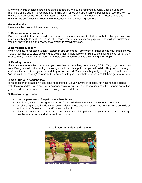Many of our club sessions take place on the streets of, and public footpaths around, Lingfield used by members of the public. Please bear this in mind at all times and give priority to pedestrians. We also want to ensure the club has no negative impact on the local area, which means never leaving litter behind and ensuring we don't cause any damage or nuisance during our training sessions.

#### **General advice**

Here are a few dos and don'ts when running.

#### **1. Be aware of other runners**

Don't be intimidated by runners who are quicker than you or seem to think they are better than you. You have just as much right to be there. On the other hand, other runners, especially quicker ones will get frustrated if you don't pay attention and show consideration to everybody else.

#### **2. Don't stop suddenly**

When running, never stop suddenly, except in dire emergency, otherwise a runner behind may crash into you. Take a few metres to slow down and be aware that runners following might be continuing, so get out of their way carefully. Always pay attention to runners around you when you are starting and stopping.

#### **3. Passing runners**

If you are in front of a fast runner and you hear them approaching from behind, DO NOT try to get out of their way. Doing this will end up with you moving directly into their path and you will collide. They can see you; you can't see them. Just hold your line and they will go around. Sometimes they will yell things like "on the left" or "on the right" or "passing" to indicate they are about to pass. Just hold your line and let them get around you.

#### **4. Can I run with headphones?**

If you must, then please only use bone headphones. Be very aware of possibly not hearing approaching vehicles or road/trail users and using headphones may put you in danger of injuring other runners as well as yourself. Most races prohibit the use of any type of headphone.

#### **5. Road running conduct**

- Use the pavement or footpath where there is one.
- Run in single file on the right-hand side of the road where there is no pavement or footpath.
- On sharp right-hand bends it is recommended to cross over well before the bend (when safe to do so) and return to face oncoming traffic after the bend.
- Always be aware of other road users and any traffic build-up that you or your group may be causing. It may be safer to stop and allow vehicles to pass.



Thank you, run safely and have fun.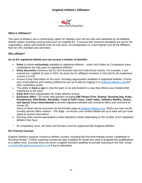## **England Athletics Affiliation**



#### **What is Affiliation?**

The sport of athletics has a central body called UK Athletics who set the rules and standards for all affiliated athletic bodies including running clubs such as Lingfield RC. It ensures that minimum standards are set for the organisation, safety and medical cover at road races. Its headquarters is in Birmingham and all the affiliation fees for LRC members are sent there.

#### **Why affiliate?**

#### **As an EA registered athlete you can access a number of benefits:**

- **Entry** to events **exclusively** available to registered athletes under UKA Rules for Competition many competitions are only open to registered athletes\*.
- **Entry discounts** (minimum £2) on UKA licensed road and multi-terrain events. For example, if you entered our Lingfield 10 race in 2022, the entry fee for affiliated members is £18 and for all unattached runners it is £20.
- Access to key information on the sport, including opportunities available to registered athletes. Ensure your email address and mailing preferences are up to date by logging in to [England Athletics.org](https://www.englandathletics.org/) and click myAthletics portal.
- The ability to **have a say** on how the sport is run and funded in a way that reflects your fundamental importance to the sport
- **Early bird** ticket opportunities for major athletics events
- **Exclusive offers -** EA works with partners including **DW Fitness First**, **Enertor, Running Imp, Kukri, Runderwear, AfterShokz, Racefully, Track & Field Tours, CanO water, Athletics Weekly, Strava and Sports Tours International** to provide registered athletes with exclusive offers and vouchers for money off.

Some of these can be accessed via the benefits page at [England Athletics.org.](https://www.englandathletics.org/athletics-and-running/athlete-registration/benefits-of-registration/) Others are sent via the monthly partner offers mailout – The Edge - so ensure your contact details are up to date and you have opted to receive information!

- Running clubs receive guaranteed London Marathon entries depending on the number of EA registered athletes they have.
- *\* for competitive races, all Clubs and Runners must be registered with England Athletics.*

#### **EA Training Courses**

England Athletics organise numerous athletic courses, including the first level training course 'Leadership in Running Fitness'. Further coaching courses are also available for those who want to progress the qualifications to a higher level. Currently there are seven Lingfield members qualified to provide coaching in the club. Email [secretary@lingfieldrunningclub.co.uk](mailto:secretary@lingfieldrunningclub.co.uk) if you're interested.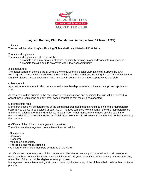

## **Lingfield Running Club Constitution (effective from 17 March 2022)**

#### 1. Name

The club will be called Lingfield Running Club and will be affiliated to UK Athletics.

#### 2. Aims and objectives

The aims and objectives of the club will be:

- To promote and enjoy amateur athletics, principally running, in a friendly and informal manner
- To promote the club and its objectives within the local community

#### 3. Headquarters

The headquarters of the club are at Lingfield Victoria Sports & Social Club, Lingfield, Surrey RH7 6AA. Running club members who wish to use the facilities at the headquarters, including the car park, must join the Lingfield Victoria Club as social members and pay those membership fees separately to that club.

#### 4. Membership

Application for membership shall be made to the membership secretary on the club's approved application form.

All members will be subject to the regulations of the constitution and by joining the club will be deemed to accept these regulations and any other codes of practice that the club has adopted.

#### 5. Membership fees

Membership fees will be determined at the annual general meeting and should be paid to the membership secretary by a date to be decided at each AGM. The fees comprise two elements - the club membership fee and the affiliation fee to England Athletics. This affiliation is not mandatory and need only be paid if the member wishes to represent the club in official races. Membership will cease if payment has not been made by the due date.

6. Officers of the club and management committee The officers and management committee of the club will be:

- Chairperson
- Secretary
- Treasurer
- Membership secretary
- The ladies' and men's captains
- Any further committee members as agreed at the AGM.

All officers and other members of the committee will be elected annually at the AGM and shall serve for no more than three consecutive years. After a minimum of one year has elapsed since serving on the committee, a member of the club will be eligible for re-appointment.

Management committee meetings will be convened by the secretary of the club and held no less than six times per year.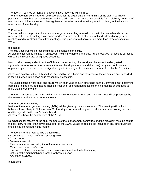The quorum required at management committee meetings will be three.

The management committee will be responsible for the organisation and running of the club. It will have powers to appoint both sub-committees and also advisers. It will also be responsible for disciplinary hearings of members who infringe the club rules/regulations/ constitution and for taking any disciplinary action including termination of membership.

#### 7. President

The club will elect a president at each annual general meeting who will assist with the smooth and effective running of the club by acting as an ambassador. The president will chair annual and extraordinary general meetings and may attend committee meetings. The president will serve for no more than three consecutive years.

#### 8. Finance

The club treasurer will be responsible for the finances of the club.

All club monies will be banked in an account held in the name of the club. Funds received for specific purposes will be held in separate, designated accounts.

No sum shall be expended from the Club Account except by cheque signed by two of the designated signatories (the treasurer, the secretary, the membership secretary and the chair) or by electronic transfer approved by at least one of the designated signatories subject to a maximum amount fixed by the Committee.

All monies payable to the Club shall be received by the officers and members of the committee and deposited in the Club Account as soon as is reasonably practicable.

The Club's financial year shall end on 31 March each year or such other date as the Committee may determine from time to time provided that no financial year shall be shortened to less than nine months or extended to more than fifteen months.

The annual accounts comprising an income and expenditure account and balance sheet will be presented by the treasurer at the annual general meeting.

#### 9. Annual general meeting

Notice of the annual general meeting (AGM) will be given by the club secretary. The meeting will be held between 1 and 30 April. Not less than 21 clear days' notice must be given to all members by posting the date and the agenda on the club's notice board.

All members have the right to vote at the AGM.

Nominations for officers of the club, members of the management committee and the president must be sent to the secretary no later than seven days prior to the AGM. Details of items to be included in any other business should also be notified in this manner.

The agenda for the AGM will be the following:

- Acceptance of minutes of the preceding AGM
- Chair's report
- Secretary's report
- Treasurer's report and adoption of the annual accounts
- Membership secretary's report
- Elections of officers, committee members and president for the forthcoming year
- Setting of the membership fee for the forthcoming year
- Any other business

In addition: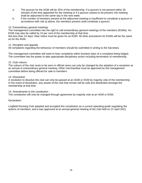- a. The quorum for the AGM will be 25% of the membership. If a quorum is not present within 30 minutes of the time appointed for the meeting or if a quorum ceases to be present, the meeting shall be adjourned to the same day in the next week.
- b. If the number of members present at the adjourned meeting is insufficient to constitute a quorum in accordance with rule a) above, the members present shall constitute a quorum.

#### 10. Extraordinary general meetings

The management committee has the right to call extraordinary general meetings of the members (EGMs). An EGM may also be called by 10 per cent of the membership at that time.

Not less than 14 days' clear notice must be given for an EGM. All other procedures for EGMs will be the same as for the AGM.

#### 11. Discipline and appeals

All complaints regarding the behaviour of members should be submitted in writing to the Secretary.

The management committee will meet to hear complaints within fourteen days of a complaint being lodged. The committee has the power to take appropriate disciplinary action including termination of membership.

#### 12. Club colours

The colours of the club vests to be worn in official races can only be changed by the adoption of a resolution at an annual or extraordinary general meeting. Other merchandise must be approved by the management committee before being offered for sale to members.

#### 13. Dissolution

A resolution to dissolve the club can only be passed at an AGM or EGM by majority vote of the membership. In the event of dissolution, any assets of the club that remain will be sold and distributed amongst the membership at that time.

#### 14. Amendments to the constitution

The constitution will only be changed through agreement by majority vote at an AGM or EGM.

#### **Declaration**

Lingfield Running Club adopted and accepted this constitution as a current operating guide regulating the actions of members, and it was approved at an annual general meeting of the club held on 21 April 2021.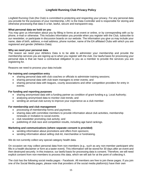## **Lingfield Running Club Privacy Policy**

Lingfield Running Club (the Club) is committed to protecting and respecting your privacy. For any personal data you provide for the purposes of your membership, LRC is the Data Controller and is responsible for storing and otherwise processing that data in a fair, lawful, secure and transparent way.

#### **What personal data we hold on you**

You may give us information about you by filling in forms at an event or online, or by corresponding with us by phone, e-mail or otherwise. This includes information you provide when you register with the Club, subscribe to our newsletter, or participate in discussion boards on our website. The information you give us may include your name, date of birth, address, e-mail address, phone number, name of the EA affiliated Clubs with which you are registered and gender (Athletics Data).

#### **Why we need your personal data**

The reason we need your Athletics Data is to be able to administer your membership and provide the membership services you are signing up to when you register with the club. Our lawful basis for processing your personal data is that we have a contractual obligation to you as a member to provide the services you are registering for.

Reasons we need to process your data include:

#### **For training and competition entry**

- sharing personal data with club coaches or officials to administer training sessions;
- sharing personal data with club team managers to enter events; and
- sharing personal data with leagues, county associations and other competition providers for entry in events.

#### **For funding and reporting purposes**

- sharing anonymised data with a funding partner as condition of grant funding e.g. Local Authority;
- analysing anonymised data to monitor club trends; and
- sending an annual club survey to improve your experience as a club member.

#### **For membership and club management**

- processing of membership forms and payments;
- sharing data with committee members to provide information about club activities, membership renewals or invitation to social events;
- club newsletter promoting club activity; and
- publishing of club race and competition results, including age band rankings.

#### **Marketing and communications (where separate consent is provided)**

- sending information about promotions and offers from sponsors;
- sending information about selling club kit, merchandise or fundraising.

We do not currently collect any special category health data.

On occasion we may collect personal data from non-members (e.g., such as any non-member participant who fills in a health disclaimer or form at a taster event). This information will be stored for 30 days after an event and then destroyed securely. In this instance, our lawful basis for processing data is consent. Therefore, we will need explicit consent from non-members to process this data, which we will ask for at the point of collecting it.

The club has the following social media pages - Facebook. All members are free to join these pages. If you join one of the Social Media pages, please note that providers of the social media platform(s) have their own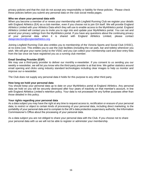privacy policies and that the club do not accept any responsibility or liability for these policies. Please check these policies before you submit any personal data on the club social media pages.

#### **Who we share your personal data with**

When you become a member of or renew your membership with Lingfield Running Club we register your details with England Athletics (EA) as a club member, even if you choose not to join EA itself. We will provide England Athletics Limited with your Athletics Data which they will use to enable access to the MyAthletics portal. England Athletics Limited will contact you to invite you to sign into and update your MyAthletics portal. You can set and amend your privacy settings from the MyAthletics portal. If you have any questions about the continuing privacy of your personal data when it is shared with England Athletics Limited, please contact [dataprotection@englandathletics.org.](mailto:dataprotection@englandathletics.org)

Joining Lingfield Running Club also entitles you to membership of the Victoria Sports and Social Club (VSSC), at no extra cost. This entitles you to use the club facilities (including the car park, bar and toilets) whenever you wish. We will give your name (only) to the VSSC and you can collect your membership card and door entry fobs from the bar once we have registered you as a running club member.

#### **Email Sending Provider (ESP)**

We may use a third-party provider to deliver our monthly e-newsletter. If you consent to us sending you our weekly e-newsletter, we will let you know who the third-party provider is at that time. We gather statistics around email opening and clicks using industry standard technologies including clear images to help us monitor and improve our e-newsletter.

The Club does not supply any personal data it holds for this purpose to any other third party.

#### **How long we hold your personal data**

You should keep your personal data up to date on your MyAthletics portal at England Athletics. Any personal data we hold on you will be securely destroyed after four years of inactivity on that member's account, in line with England Athletics Limited's retention policy. Your data is not processed for any further purposes other than those detailed in this policy.

#### **Your rights regarding your personal data**

As a data subject you may have the right at any time to request access to, rectification or erasure of your personal data; to restrict or object to certain kinds of processing of your personal data, including direct marketing; to the portability of your personal data and to complain to the UK's data protection supervisory authority, the Information Commissioner's Office about the processing of your personal data.

As a data subject you are not obliged to share your personal data with the Club. If you choose not to share your personal data with us we will not be able to register or administer your membership.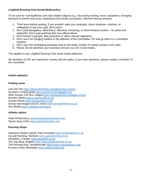## **Lingfield Running Club Social Media policy**

To be used for running/fitness and club related subjects e.g., discussing training, races, equipment, arranging transport to events and races, organising club socials and parties, informal training sessions.

- 1. Think twice before posting. If you wouldn't want your employer, future employer, relatives, or colleagues to see your post, don't post it.
- 2. Don't post derogatory, defamatory, offensive, harassing, or discriminatory content be polite and respectful. Don't post anything that may offend others.
- 3. Don't breach copyright, data protection or other relevant legislation.
- 4. Don't use it for bringing matters to the attention of the Committee. For that go direct to a committee member.
- 5. Don't use it for fundraising purposes (due to the sheer number of charity runners in the club).
- 6. Please do not advertise your business services via LRC social media,

This applies to any Lingfield Running Club social media platforms.

All members of LRC are required to comply with the policy. If you have questions, please contact a member of the committee.

#### **Useful websites**

#### **Finding races**

Let's Do This<https://www.letsdothis.com/gb/running-events> Southern running quide www.southernrunningquide.com West Sussex Fun Run League [www.westsussexfunrunleague.org.uk](http://www.westsussexfunrunleague.org.uk/)  Runners World [www.runnersworld.co.uk](http://www.runnersworld.co.uk/) Sussex Races [www.sussexraces.co.uk](http://www.sussexraces.co.uk/) Surrey road league and XC races [www.surreyathletics.org.uk](http://www.surreyathletics.org.uk/) Run Britain [www.runbritain.com/races](http://www.runbritain.com/races)

#### **Athletic advice**

Peak Performance [www.peakendurancesport.com](http://www.peakendurancesport.com/) Sports Injury Clinic [www.sportsinjuryclinic.net](http://www.sportsinjuryclinic.net/)

#### **Running shops**

Intersport Herbert Sports, East Grinstead [www.herbertsports.co.uk](http://www.herbertsports.co.uk/) Up and Running, Horsham [www.upandrunning.co.uk](http://www.upandrunning.co.uk/) Decathlon, Crawley [www.decathlon.co.uk](http://www.decathlon.co.uk/) The Jog Shop, Brighton<http://www.jogshoponline.co.uk/> The Running Hub, Southborough<https://www.runninghub.co.uk/> Runners Need, Bluewater [www.runnersneed.com](http://www.runnersneed.com/)